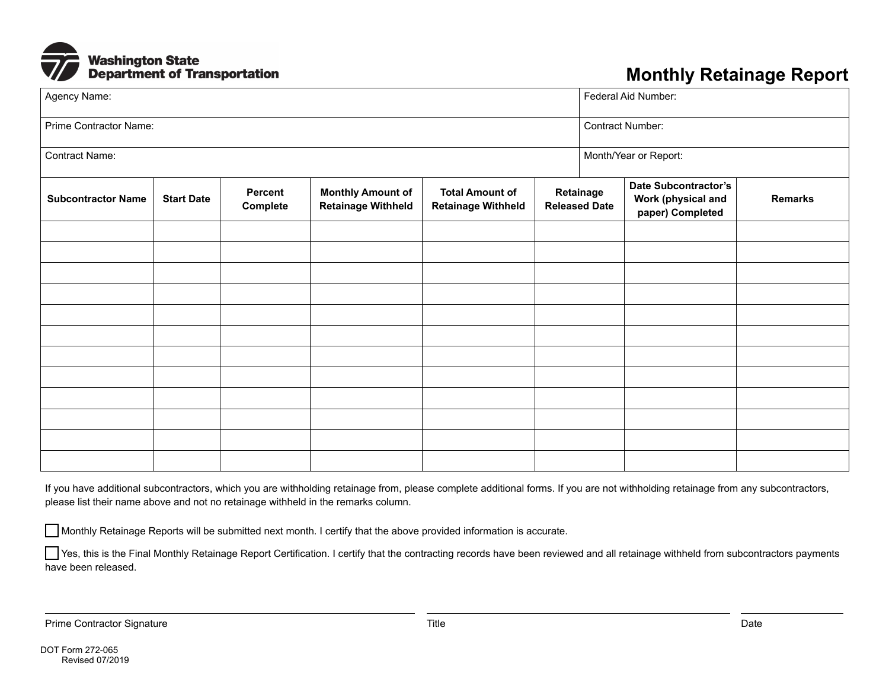

## **Monthly Retainage Report**

| Agency Name:              |                   |                     |                                                       |                                                     |                                   | Federal Aid Number:   |                                                                       |                |
|---------------------------|-------------------|---------------------|-------------------------------------------------------|-----------------------------------------------------|-----------------------------------|-----------------------|-----------------------------------------------------------------------|----------------|
| Prime Contractor Name:    |                   |                     |                                                       |                                                     |                                   | Contract Number:      |                                                                       |                |
| <b>Contract Name:</b>     |                   |                     |                                                       |                                                     |                                   | Month/Year or Report: |                                                                       |                |
| <b>Subcontractor Name</b> | <b>Start Date</b> | Percent<br>Complete | <b>Monthly Amount of</b><br><b>Retainage Withheld</b> | <b>Total Amount of</b><br><b>Retainage Withheld</b> | Retainage<br><b>Released Date</b> |                       | <b>Date Subcontractor's</b><br>Work (physical and<br>paper) Completed | <b>Remarks</b> |
|                           |                   |                     |                                                       |                                                     |                                   |                       |                                                                       |                |
|                           |                   |                     |                                                       |                                                     |                                   |                       |                                                                       |                |
|                           |                   |                     |                                                       |                                                     |                                   |                       |                                                                       |                |
|                           |                   |                     |                                                       |                                                     |                                   |                       |                                                                       |                |
|                           |                   |                     |                                                       |                                                     |                                   |                       |                                                                       |                |
|                           |                   |                     |                                                       |                                                     |                                   |                       |                                                                       |                |
|                           |                   |                     |                                                       |                                                     |                                   |                       |                                                                       |                |
|                           |                   |                     |                                                       |                                                     |                                   |                       |                                                                       |                |
|                           |                   |                     |                                                       |                                                     |                                   |                       |                                                                       |                |
|                           |                   |                     |                                                       |                                                     |                                   |                       |                                                                       |                |
|                           |                   |                     |                                                       |                                                     |                                   |                       |                                                                       |                |

If you have additional subcontractors, which you are withholding retainage from, please complete additional forms. If you are not withholding retainage from any subcontractors, please list their name above and not no retainage withheld in the remarks column.

Monthly Retainage Reports will be submitted next month. I certify that the above provided information is accurate.

Yes, this is the Final Monthly Retainage Report Certification. I certify that the contracting records have been reviewed and all retainage withheld from subcontractors payments have been released.